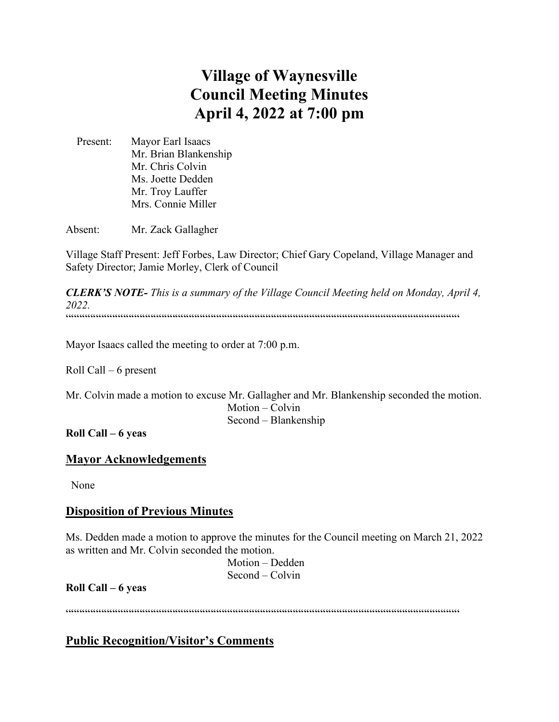# **Village of Waynesville Council Meeting Minutes April 4, 2022 at 7:00 pm**

 Present: Mayor Earl Isaacs Mr. Brian Blankenship Mr. Chris Colvin Ms. Joette Dedden Mr. Troy Lauffer Mrs. Connie Miller

Absent: Mr. Zack Gallagher

Village Staff Present: Jeff Forbes, Law Director; Chief Gary Copeland, Village Manager and Safety Director; Jamie Morley, Clerk of Council

*CLERK'S NOTE- This is a summary of the Village Council Meeting held on Monday, April 4, 2022.*   $\label{prop:main}$ 

Mayor Isaacs called the meeting to order at 7:00 p.m.

Roll Call – 6 present

Mr. Colvin made a motion to excuse Mr. Gallagher and Mr. Blankenship seconded the motion. Motion – Colvin Second – Blankenship

**Roll Call – 6 yeas**

# **Mayor Acknowledgements**

None

### **Disposition of Previous Minutes**

Ms. Dedden made a motion to approve the minutes for the Council meeting on March 21, 2022 as written and Mr. Colvin seconded the motion.

 Motion – Dedden Second – Colvin

**Roll Call – 6 yeas**

""""""""""""""""""""""""""""""""""""""""""""""""""""""""""""""""""""""""

**Public Recognition/Visitor's Comments**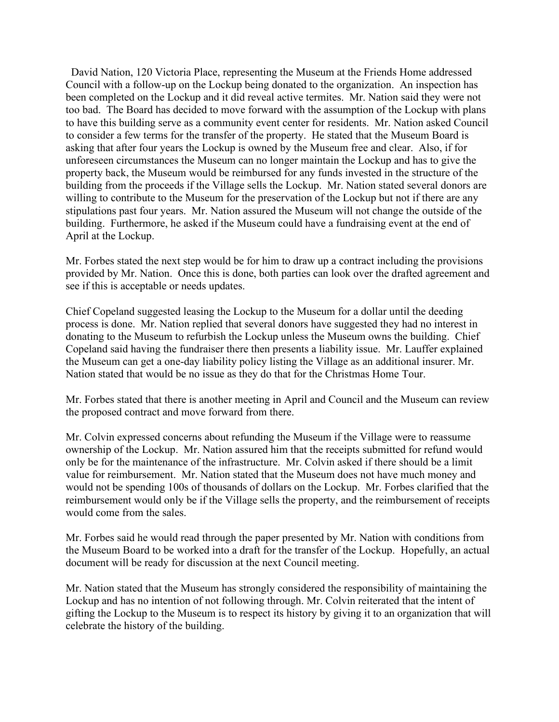David Nation, 120 Victoria Place, representing the Museum at the Friends Home addressed Council with a follow-up on the Lockup being donated to the organization. An inspection has been completed on the Lockup and it did reveal active termites. Mr. Nation said they were not too bad. The Board has decided to move forward with the assumption of the Lockup with plans to have this building serve as a community event center for residents. Mr. Nation asked Council to consider a few terms for the transfer of the property. He stated that the Museum Board is asking that after four years the Lockup is owned by the Museum free and clear. Also, if for unforeseen circumstances the Museum can no longer maintain the Lockup and has to give the property back, the Museum would be reimbursed for any funds invested in the structure of the building from the proceeds if the Village sells the Lockup. Mr. Nation stated several donors are willing to contribute to the Museum for the preservation of the Lockup but not if there are any stipulations past four years. Mr. Nation assured the Museum will not change the outside of the building. Furthermore, he asked if the Museum could have a fundraising event at the end of April at the Lockup.

Mr. Forbes stated the next step would be for him to draw up a contract including the provisions provided by Mr. Nation. Once this is done, both parties can look over the drafted agreement and see if this is acceptable or needs updates.

Chief Copeland suggested leasing the Lockup to the Museum for a dollar until the deeding process is done. Mr. Nation replied that several donors have suggested they had no interest in donating to the Museum to refurbish the Lockup unless the Museum owns the building. Chief Copeland said having the fundraiser there then presents a liability issue. Mr. Lauffer explained the Museum can get a one-day liability policy listing the Village as an additional insurer. Mr. Nation stated that would be no issue as they do that for the Christmas Home Tour.

Mr. Forbes stated that there is another meeting in April and Council and the Museum can review the proposed contract and move forward from there.

Mr. Colvin expressed concerns about refunding the Museum if the Village were to reassume ownership of the Lockup. Mr. Nation assured him that the receipts submitted for refund would only be for the maintenance of the infrastructure. Mr. Colvin asked if there should be a limit value for reimbursement. Mr. Nation stated that the Museum does not have much money and would not be spending 100s of thousands of dollars on the Lockup. Mr. Forbes clarified that the reimbursement would only be if the Village sells the property, and the reimbursement of receipts would come from the sales.

Mr. Forbes said he would read through the paper presented by Mr. Nation with conditions from the Museum Board to be worked into a draft for the transfer of the Lockup. Hopefully, an actual document will be ready for discussion at the next Council meeting.

Mr. Nation stated that the Museum has strongly considered the responsibility of maintaining the Lockup and has no intention of not following through. Mr. Colvin reiterated that the intent of gifting the Lockup to the Museum is to respect its history by giving it to an organization that will celebrate the history of the building.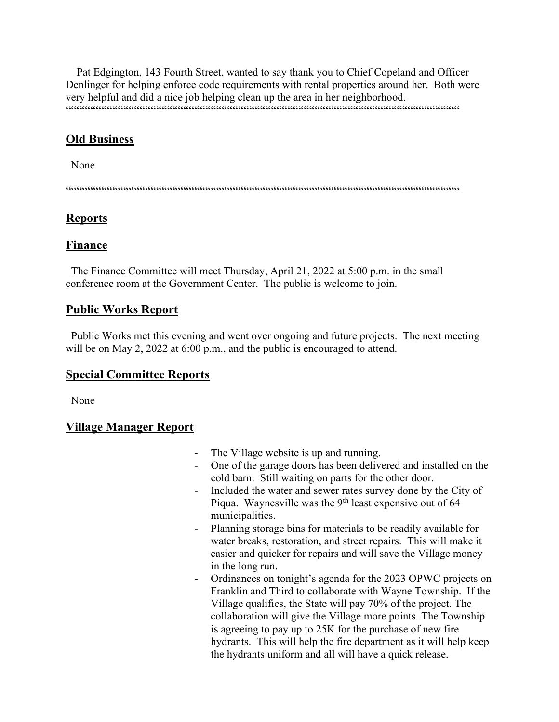Pat Edgington, 143 Fourth Street, wanted to say thank you to Chief Copeland and Officer Denlinger for helping enforce code requirements with rental properties around her. Both were very helpful and did a nice job helping clean up the area in her neighborhood. """"""""""""""""""""""""""""""""""""""""""""""""""""""""""""""""""""""""

# **Old Business**

None

""""""""""""""""""""""""""""""""""""""""""""""""""""""""""""""""""""""""

# **Reports**

# **Finance**

 The Finance Committee will meet Thursday, April 21, 2022 at 5:00 p.m. in the small conference room at the Government Center. The public is welcome to join.

# **Public Works Report**

 Public Works met this evening and went over ongoing and future projects. The next meeting will be on May 2, 2022 at 6:00 p.m., and the public is encouraged to attend.

# **Special Committee Reports**

None

# **Village Manager Report**

- The Village website is up and running.
- One of the garage doors has been delivered and installed on the cold barn. Still waiting on parts for the other door.
- Included the water and sewer rates survey done by the City of Piqua. Waynesville was the 9<sup>th</sup> least expensive out of 64 municipalities.
- Planning storage bins for materials to be readily available for water breaks, restoration, and street repairs. This will make it easier and quicker for repairs and will save the Village money in the long run.
- Ordinances on tonight's agenda for the 2023 OPWC projects on Franklin and Third to collaborate with Wayne Township. If the Village qualifies, the State will pay 70% of the project. The collaboration will give the Village more points. The Township is agreeing to pay up to 25K for the purchase of new fire hydrants. This will help the fire department as it will help keep the hydrants uniform and all will have a quick release.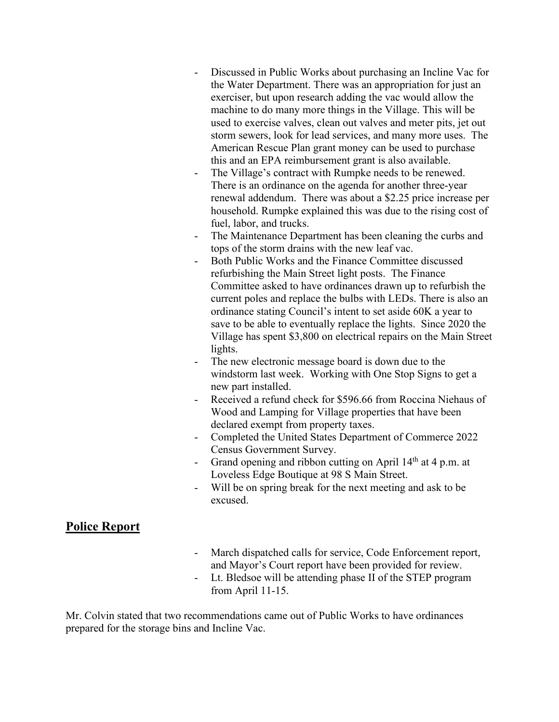- Discussed in Public Works about purchasing an Incline Vac for the Water Department. There was an appropriation for just an exerciser, but upon research adding the vac would allow the machine to do many more things in the Village. This will be used to exercise valves, clean out valves and meter pits, jet out storm sewers, look for lead services, and many more uses. The American Rescue Plan grant money can be used to purchase this and an EPA reimbursement grant is also available.
- The Village's contract with Rumpke needs to be renewed. There is an ordinance on the agenda for another three-year renewal addendum. There was about a \$2.25 price increase per household. Rumpke explained this was due to the rising cost of fuel, labor, and trucks.
- The Maintenance Department has been cleaning the curbs and tops of the storm drains with the new leaf vac.
- Both Public Works and the Finance Committee discussed refurbishing the Main Street light posts. The Finance Committee asked to have ordinances drawn up to refurbish the current poles and replace the bulbs with LEDs. There is also an ordinance stating Council's intent to set aside 60K a year to save to be able to eventually replace the lights. Since 2020 the Village has spent \$3,800 on electrical repairs on the Main Street lights.
- The new electronic message board is down due to the windstorm last week. Working with One Stop Signs to get a new part installed.
- Received a refund check for \$596.66 from Roccina Niehaus of Wood and Lamping for Village properties that have been declared exempt from property taxes.
- Completed the United States Department of Commerce 2022 Census Government Survey.
- Grand opening and ribbon cutting on April  $14<sup>th</sup>$  at 4 p.m. at Loveless Edge Boutique at 98 S Main Street.
- Will be on spring break for the next meeting and ask to be excused.

### **Police Report**

- March dispatched calls for service, Code Enforcement report, and Mayor's Court report have been provided for review.
- Lt. Bledsoe will be attending phase II of the STEP program from April 11-15.

Mr. Colvin stated that two recommendations came out of Public Works to have ordinances prepared for the storage bins and Incline Vac.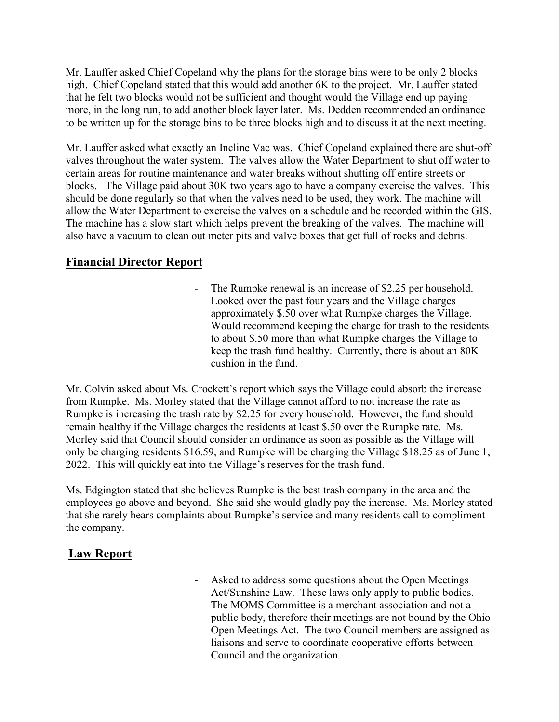Mr. Lauffer asked Chief Copeland why the plans for the storage bins were to be only 2 blocks high. Chief Copeland stated that this would add another 6K to the project. Mr. Lauffer stated that he felt two blocks would not be sufficient and thought would the Village end up paying more, in the long run, to add another block layer later. Ms. Dedden recommended an ordinance to be written up for the storage bins to be three blocks high and to discuss it at the next meeting.

Mr. Lauffer asked what exactly an Incline Vac was. Chief Copeland explained there are shut-off valves throughout the water system. The valves allow the Water Department to shut off water to certain areas for routine maintenance and water breaks without shutting off entire streets or blocks. The Village paid about 30K two years ago to have a company exercise the valves. This should be done regularly so that when the valves need to be used, they work. The machine will allow the Water Department to exercise the valves on a schedule and be recorded within the GIS. The machine has a slow start which helps prevent the breaking of the valves. The machine will also have a vacuum to clean out meter pits and valve boxes that get full of rocks and debris.

# **Financial Director Report**

The Rumpke renewal is an increase of \$2.25 per household. Looked over the past four years and the Village charges approximately \$.50 over what Rumpke charges the Village. Would recommend keeping the charge for trash to the residents to about \$.50 more than what Rumpke charges the Village to keep the trash fund healthy. Currently, there is about an 80K cushion in the fund.

Mr. Colvin asked about Ms. Crockett's report which says the Village could absorb the increase from Rumpke. Ms. Morley stated that the Village cannot afford to not increase the rate as Rumpke is increasing the trash rate by \$2.25 for every household. However, the fund should remain healthy if the Village charges the residents at least \$.50 over the Rumpke rate. Ms. Morley said that Council should consider an ordinance as soon as possible as the Village will only be charging residents \$16.59, and Rumpke will be charging the Village \$18.25 as of June 1, 2022. This will quickly eat into the Village's reserves for the trash fund.

Ms. Edgington stated that she believes Rumpke is the best trash company in the area and the employees go above and beyond. She said she would gladly pay the increase. Ms. Morley stated that she rarely hears complaints about Rumpke's service and many residents call to compliment the company.

# **Law Report**

- Asked to address some questions about the Open Meetings Act/Sunshine Law. These laws only apply to public bodies. The MOMS Committee is a merchant association and not a public body, therefore their meetings are not bound by the Ohio Open Meetings Act. The two Council members are assigned as liaisons and serve to coordinate cooperative efforts between Council and the organization.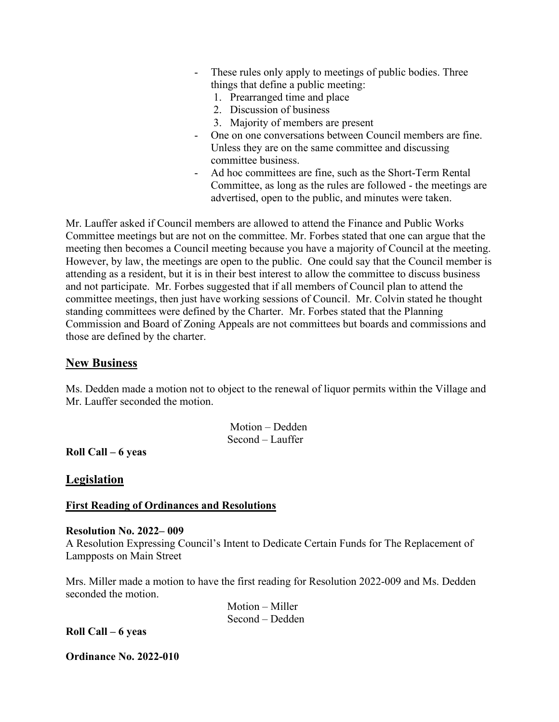- These rules only apply to meetings of public bodies. Three things that define a public meeting:
	- 1. Prearranged time and place
	- 2. Discussion of business
	- 3. Majority of members are present
- One on one conversations between Council members are fine. Unless they are on the same committee and discussing committee business.
- Ad hoc committees are fine, such as the Short-Term Rental Committee, as long as the rules are followed - the meetings are advertised, open to the public, and minutes were taken.

Mr. Lauffer asked if Council members are allowed to attend the Finance and Public Works Committee meetings but are not on the committee. Mr. Forbes stated that one can argue that the meeting then becomes a Council meeting because you have a majority of Council at the meeting. However, by law, the meetings are open to the public. One could say that the Council member is attending as a resident, but it is in their best interest to allow the committee to discuss business and not participate. Mr. Forbes suggested that if all members of Council plan to attend the committee meetings, then just have working sessions of Council. Mr. Colvin stated he thought standing committees were defined by the Charter. Mr. Forbes stated that the Planning Commission and Board of Zoning Appeals are not committees but boards and commissions and those are defined by the charter.

### **New Business**

Ms. Dedden made a motion not to object to the renewal of liquor permits within the Village and Mr. Lauffer seconded the motion.

> Motion – Dedden Second – Lauffer

**Roll Call – 6 yeas** 

**Legislation**

### **First Reading of Ordinances and Resolutions**

### **Resolution No. 2022– 009**

A Resolution Expressing Council's Intent to Dedicate Certain Funds for The Replacement of Lampposts on Main Street

Mrs. Miller made a motion to have the first reading for Resolution 2022-009 and Ms. Dedden seconded the motion.

> Motion – Miller Second – Dedden

**Roll Call – 6 yeas** 

**Ordinance No. 2022-010**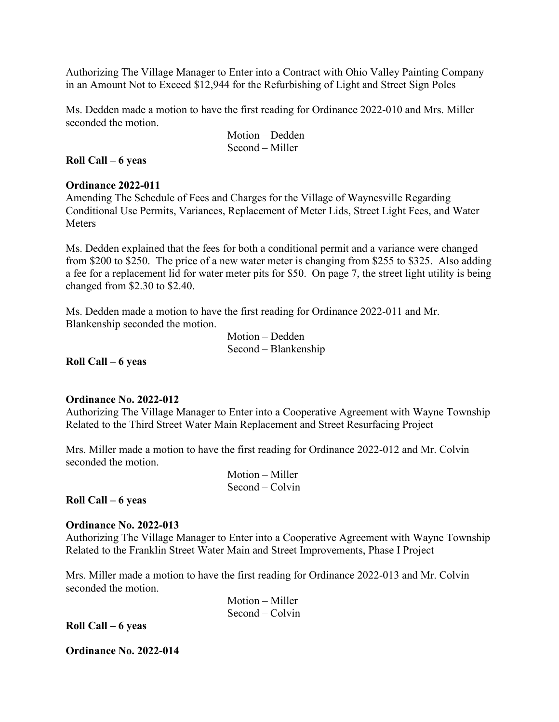Authorizing The Village Manager to Enter into a Contract with Ohio Valley Painting Company in an Amount Not to Exceed \$12,944 for the Refurbishing of Light and Street Sign Poles

Ms. Dedden made a motion to have the first reading for Ordinance 2022-010 and Mrs. Miller seconded the motion.

> Motion – Dedden Second – Miller

### **Roll Call – 6 yeas**

### **Ordinance 2022-011**

Amending The Schedule of Fees and Charges for the Village of Waynesville Regarding Conditional Use Permits, Variances, Replacement of Meter Lids, Street Light Fees, and Water Meters

Ms. Dedden explained that the fees for both a conditional permit and a variance were changed from \$200 to \$250. The price of a new water meter is changing from \$255 to \$325. Also adding a fee for a replacement lid for water meter pits for \$50. On page 7, the street light utility is being changed from \$2.30 to \$2.40.

Ms. Dedden made a motion to have the first reading for Ordinance 2022-011 and Mr. Blankenship seconded the motion.

```
 Motion – Dedden
Second – Blankenship
```
**Roll Call – 6 yeas** 

### **Ordinance No. 2022-012**

Authorizing The Village Manager to Enter into a Cooperative Agreement with Wayne Township Related to the Third Street Water Main Replacement and Street Resurfacing Project

Mrs. Miller made a motion to have the first reading for Ordinance 2022-012 and Mr. Colvin seconded the motion.

> Motion – Miller Second – Colvin

### **Roll Call – 6 yeas**

### **Ordinance No. 2022-013**

Authorizing The Village Manager to Enter into a Cooperative Agreement with Wayne Township Related to the Franklin Street Water Main and Street Improvements, Phase I Project

Mrs. Miller made a motion to have the first reading for Ordinance 2022-013 and Mr. Colvin seconded the motion.

| $Motion - Miller$ |
|-------------------|
| $Second - Colvin$ |

**Roll Call – 6 yeas** 

**Ordinance No. 2022-014**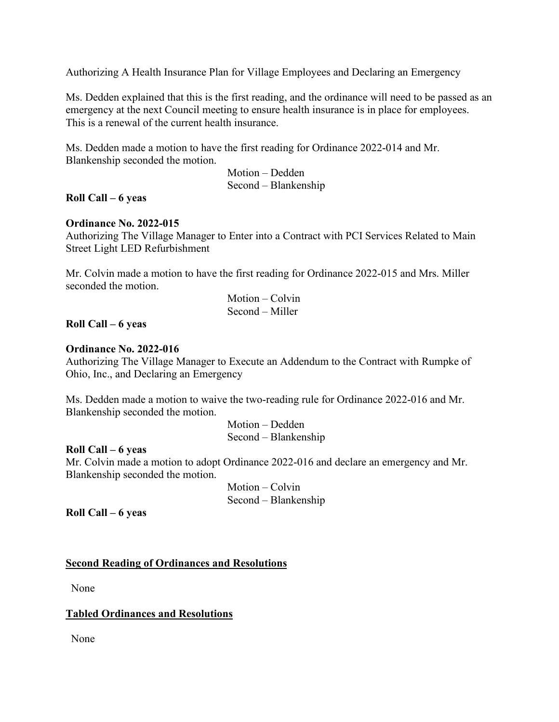Authorizing A Health Insurance Plan for Village Employees and Declaring an Emergency

Ms. Dedden explained that this is the first reading, and the ordinance will need to be passed as an emergency at the next Council meeting to ensure health insurance is in place for employees. This is a renewal of the current health insurance.

Ms. Dedden made a motion to have the first reading for Ordinance 2022-014 and Mr. Blankenship seconded the motion.

> Motion – Dedden Second – Blankenship

### **Roll Call – 6 yeas**

### **Ordinance No. 2022-015**

Authorizing The Village Manager to Enter into a Contract with PCI Services Related to Main Street Light LED Refurbishment

Mr. Colvin made a motion to have the first reading for Ordinance 2022-015 and Mrs. Miller seconded the motion.

> Motion – Colvin Second – Miller

### **Roll Call – 6 yeas**

#### **Ordinance No. 2022-016**

Authorizing The Village Manager to Execute an Addendum to the Contract with Rumpke of Ohio, Inc., and Declaring an Emergency

Ms. Dedden made a motion to waive the two-reading rule for Ordinance 2022-016 and Mr. Blankenship seconded the motion.

> Motion – Dedden Second – Blankenship

### **Roll Call – 6 yeas**

Mr. Colvin made a motion to adopt Ordinance 2022-016 and declare an emergency and Mr. Blankenship seconded the motion.

> Motion – Colvin Second – Blankenship

**Roll Call – 6 yeas** 

### **Second Reading of Ordinances and Resolutions**

None

### **Tabled Ordinances and Resolutions**

None